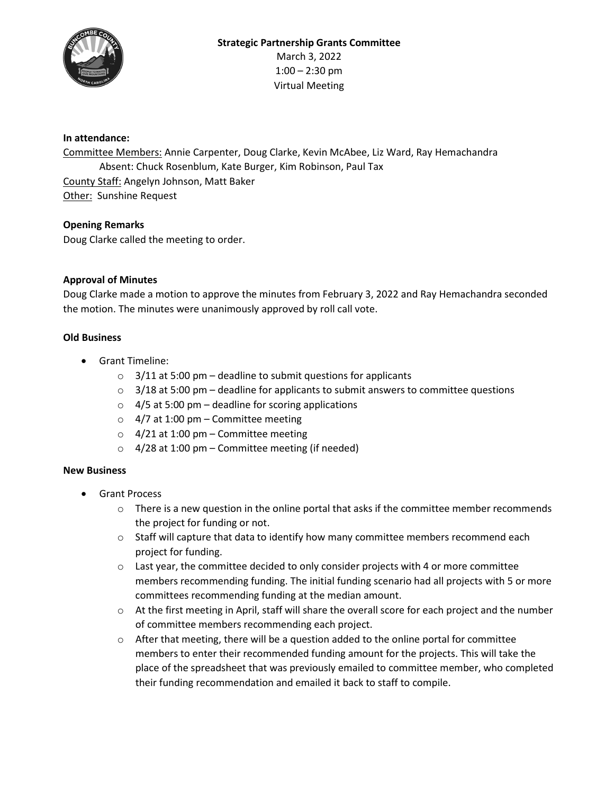

## **In attendance:**

Committee Members: Annie Carpenter, Doug Clarke, Kevin McAbee, Liz Ward, Ray Hemachandra Absent: Chuck Rosenblum, Kate Burger, Kim Robinson, Paul Tax County Staff: Angelyn Johnson, Matt Baker Other: Sunshine Request

### **Opening Remarks**

Doug Clarke called the meeting to order.

# **Approval of Minutes**

Doug Clarke made a motion to approve the minutes from February 3, 2022 and Ray Hemachandra seconded the motion. The minutes were unanimously approved by roll call vote.

### **Old Business**

- Grant Timeline:
	- $\circ$  3/11 at 5:00 pm deadline to submit questions for applicants
	- $\circ$  3/18 at 5:00 pm deadline for applicants to submit answers to committee questions
	- $\circ$  4/5 at 5:00 pm deadline for scoring applications
	- $\circ$  4/7 at 1:00 pm Committee meeting
	- $\circ$  4/21 at 1:00 pm Committee meeting
	- $\circ$  4/28 at 1:00 pm Committee meeting (if needed)

### **New Business**

- Grant Process
	- $\circ$  There is a new question in the online portal that asks if the committee member recommends the project for funding or not.
	- o Staff will capture that data to identify how many committee members recommend each project for funding.
	- $\circ$  Last year, the committee decided to only consider projects with 4 or more committee members recommending funding. The initial funding scenario had all projects with 5 or more committees recommending funding at the median amount.
	- o At the first meeting in April, staff will share the overall score for each project and the number of committee members recommending each project.
	- o After that meeting, there will be a question added to the online portal for committee members to enter their recommended funding amount for the projects. This will take the place of the spreadsheet that was previously emailed to committee member, who completed their funding recommendation and emailed it back to staff to compile.